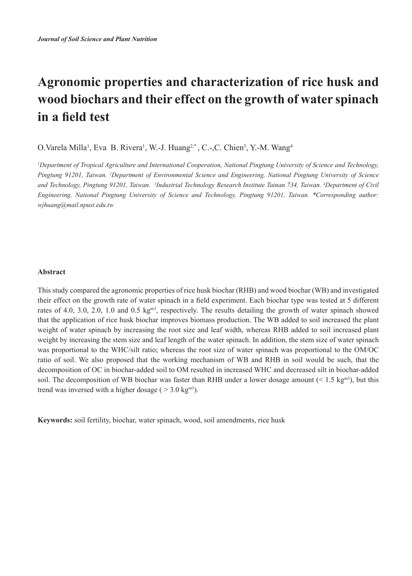# **Agronomic properties and characterization of rice husk and wood biochars and their effect on the growth of water spinach in a field test**

## O.Varela Milla<sup>1</sup>, Eva B. Rivera<sup>1</sup>, W.-J. Huang<sup>2,\*</sup>, C.-,C. Chien<sup>3</sup>, Y.-M. Wang<sup>4</sup>

*1 Department of Tropical Agriculture and International Cooperation, National Pingtung University of Science and Technology,*  Pingtung 91201, Taiwan. <sup>2</sup>Department of Environmental Science and Engineering, National Pingtung University of Science *and Technology, Pingtung 91201, Taiwan. 3 Industrial Technology Research Institute Tainan 734, Taiwan. 4 Department of Civil Engineering, National Pingtung University of Science and Technology, Pingtung 91201, Taiwan. \*Corresponding author: wjhuang@mail.npust.edu.tw*

## **Abstract**

This study compared the agronomic properties of rice husk biochar (RHB) and wood biochar (WB) and investigated their effect on the growth rate of water spinach in a field experiment. Each biochar type was tested at 5 different rates of 4.0, 3.0, 2.0, 1.0 and 0.5 kg $^{\text{m3}}$ , respectively. The results detailing the growth of water spinach showed that the application of rice husk biochar improves biomass production. The WB added to soil increased the plant weight of water spinach by increasing the root size and leaf width, whereas RHB added to soil increased plant weight by increasing the stem size and leaf length of the water spinach. In addition, the stem size of water spinach was proportional to the WHC/silt ratio; whereas the root size of water spinach was proportional to the OM/OC ratio of soil. We also proposed that the working mechanism of WB and RHB in soil would be such, that the decomposition of OC in biochar-added soil to OM resulted in increased WHC and decreased silt in biochar-added soil. The decomposition of WB biochar was faster than RHB under a lower dosage amount ( $\leq 1.5 \text{ kg}^{\text{m3}}$ ), but this trend was inversed with a higher dosage ( $>$  3.0 kg<sup>m3</sup>).

**Keywords:** soil fertility, biochar, water spinach, wood, soil amendments, rice husk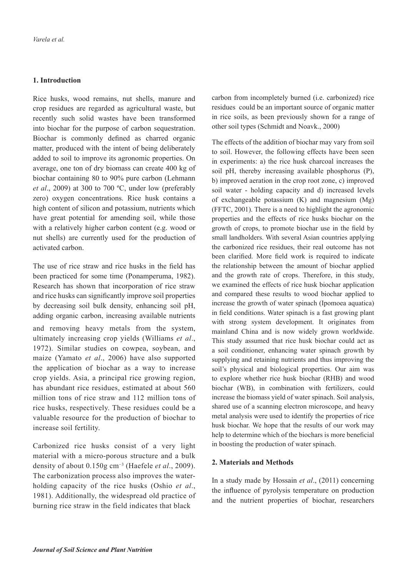## **1. Introduction**

Rice husks, wood remains, nut shells, manure and crop residues are regarded as agricultural waste, but recently such solid wastes have been transformed into biochar for the purpose of carbon sequestration. Biochar is commonly defined as charred organic matter, produced with the intent of being deliberately added to soil to improve its agronomic properties. On average, one ton of dry biomass can create 400 kg of biochar containing 80 to 90% pure carbon (Lehmann *et al*., 2009) at 300 to 700 ºC, under low (preferably zero) oxygen concentrations. Rice husk contains a high content of silicon and potassium, nutrients which have great potential for amending soil, while those with a relatively higher carbon content (e.g. wood or nut shells) are currently used for the production of activated carbon.

The use of rice straw and rice husks in the field has been practiced for some time (Ponamperuma, 1982). Research has shown that incorporation of rice straw and rice husks can significantly improve soil properties by decreasing soil bulk density, enhancing soil pH, adding organic carbon, increasing available nutrients and removing heavy metals from the system, ultimately increasing crop yields (Williams *et al*., 1972). Similar studies on cowpea, soybean, and maize (Yamato *et al*., 2006) have also supported the application of biochar as a way to increase crop yields. Asia, a principal rice growing region, has abundant rice residues, estimated at about 560 million tons of rice straw and 112 million tons of rice husks, respectively. These residues could be a valuable resource for the production of biochar to increase soil fertility.

Carbonized rice husks consist of a very light material with a micro-porous structure and a bulk density of about 0.150g cm−3 (Haefele *et al*., 2009). The carbonization process also improves the waterholding capacity of the rice husks (Oshio *et al*., 1981). Additionally, the widespread old practice of burning rice straw in the field indicates that black

carbon from incompletely burned (i.e. carbonized) rice residues could be an important source of organic matter in rice soils, as been previously shown for a range of other soil types (Schmidt and Noavk., 2000)

The effects of the addition of biochar may vary from soil to soil. However, the following effects have been seen in experiments: a) the rice husk charcoal increases the soil pH, thereby increasing available phosphorus (P), b) improved aeration in the crop root zone, c) improved soil water - holding capacity and d) increased levels of exchangeable potassium (K) and magnesium (Mg) (FFTC, 2001). There is a need to highlight the agronomic properties and the effects of rice husks biochar on the growth of crops, to promote biochar use in the field by small landholders. With several Asian countries applying the carbonized rice residues, their real outcome has not been clarified. More field work is required to indicate the relationship between the amount of biochar applied and the growth rate of crops. Therefore, in this study, we examined the effects of rice husk biochar application and compared these results to wood biochar applied to increase the growth of water spinach (Ipomoea aquatica) in field conditions. Water spinach is a fast growing plant with strong system development. It originates from mainland China and is now widely grown worldwide. This study assumed that rice husk biochar could act as a soil conditioner, enhancing water spinach growth by supplying and retaining nutrients and thus improving the soil's physical and biological properties. Our aim was to explore whether rice husk biochar (RHB) and wood biochar (WB), in combination with fertilizers, could increase the biomass yield of water spinach. Soil analysis, shared use of a scanning electron microscope, and heavy metal analysis were used to identify the properties of rice husk biochar. We hope that the results of our work may help to determine which of the biochars is more beneficial in boosting the production of water spinach.

#### **2. Materials and Methods**

In a study made by Hossain *et al*., (2011) concerning the influence of pyrolysis temperature on production and the nutrient properties of biochar, researchers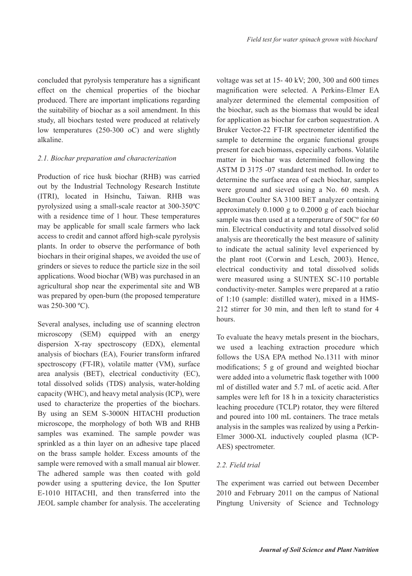concluded that pyrolysis temperature has a significant effect on the chemical properties of the biochar produced. There are important implications regarding the suitability of biochar as a soil amendment. In this study, all biochars tested were produced at relatively low temperatures (250-300 oC) and were slightly alkaline.

#### *2.1. Biochar preparation and characterization*

Production of rice husk biochar (RHB) was carried out by the Industrial Technology Research Institute (ITRI), located in Hsinchu, Taiwan. RHB was pyrolysized using a small-scale reactor at 300-350ºC with a residence time of 1 hour. These temperatures may be applicable for small scale farmers who lack access to credit and cannot afford high-scale pyrolysis plants. In order to observe the performance of both biochars in their original shapes, we avoided the use of grinders or sieves to reduce the particle size in the soil applications. Wood biochar (WB) was purchased in an agricultural shop near the experimental site and WB was prepared by open-burn (the proposed temperature was 250-300 ºC).

Several analyses, including use of scanning electron microscopy (SEM) equipped with an energy dispersion X-ray spectroscopy (EDX), elemental analysis of biochars (EA), Fourier transform infrared spectroscopy (FT-IR), volatile matter (VM), surface area analysis (BET), electrical conductivity (EC), total dissolved solids (TDS) analysis, water-holding capacity (WHC), and heavy metal analysis (ICP), were used to characterize the properties of the biochars. By using an SEM S-3000N HITACHI production microscope, the morphology of both WB and RHB samples was examined. The sample powder was sprinkled as a thin layer on an adhesive tape placed on the brass sample holder. Excess amounts of the sample were removed with a small manual air blower. The adhered sample was then coated with gold powder using a sputtering device, the Ion Sputter E-1010 HITACHI, and then transferred into the JEOL sample chamber for analysis. The accelerating

voltage was set at 15- 40 kV; 200, 300 and 600 times magnification were selected. A Perkins-Elmer EA analyzer determined the elemental composition of the biochar, such as the biomass that would be ideal for application as biochar for carbon sequestration. A Bruker Vector-22 FT-IR spectrometer identified the sample to determine the organic functional groups present for each biomass, especially carbons. Volatile matter in biochar was determined following the ASTM D 3175 -07 standard test method. In order to determine the surface area of each biochar, samples were ground and sieved using a No. 60 mesh. A Beckman Coulter SA 3100 BET analyzer containing approximately 0.1000 g to 0.2000 g of each biochar sample was then used at a temperature of  $50C^{\circ}$  for 60 min. Electrical conductivity and total dissolved solid analysis are theoretically the best measure of salinity to indicate the actual salinity level experienced by the plant root (Corwin and Lesch, 2003). Hence, electrical conductivity and total dissolved solids were measured using a SUNTEX SC-110 portable conductivity-meter. Samples were prepared at a ratio of 1:10 (sample: distilled water), mixed in a HMS-212 stirrer for 30 min, and then left to stand for 4 hours.

To evaluate the heavy metals present in the biochars, we used a leaching extraction procedure which follows the USA EPA method No.1311 with minor modifications; 5 g of ground and weighted biochar were added into a volumetric flask together with 1000 ml of distilled water and 5.7 mL of acetic acid. After samples were left for 18 h in a toxicity characteristics leaching procedure (TCLP) rotator, they were filtered and poured into 100 mL containers. The trace metals analysis in the samples was realized by using a Perkin-Elmer 3000-XL inductively coupled plasma (ICP-AES) spectrometer.

## *2.2. Field trial*

The experiment was carried out between December 2010 and February 2011 on the campus of National Pingtung University of Science and Technology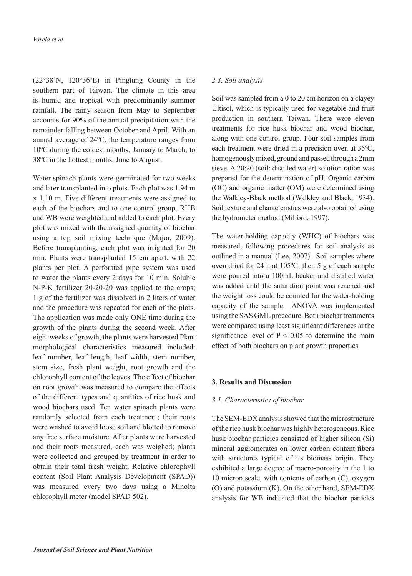(22°38'N, 120°36'E) in Pingtung County in the southern part of Taiwan. The climate in this area is humid and tropical with predominantly summer rainfall. The rainy season from May to September accounts for 90% of the annual precipitation with the remainder falling between October and April. With an annual average of 24ºC, the temperature ranges from 10ºC during the coldest months, January to March, to 38ºC in the hottest months, June to August.

Water spinach plants were germinated for two weeks and later transplanted into plots. Each plot was 1.94 m x 1.10 m. Five different treatments were assigned to each of the biochars and to one control group. RHB and WB were weighted and added to each plot. Every plot was mixed with the assigned quantity of biochar using a top soil mixing technique (Major, 2009). Before transplanting, each plot was irrigated for 20 min. Plants were transplanted 15 cm apart, with 22 plants per plot. A perforated pipe system was used to water the plants every 2 days for 10 min. Soluble N-P-K fertilizer 20-20-20 was applied to the crops; 1 g of the fertilizer was dissolved in 2 liters of water and the procedure was repeated for each of the plots. The application was made only ONE time during the growth of the plants during the second week. After eight weeks of growth, the plants were harvested Plant morphological characteristics measured included: leaf number, leaf length, leaf width, stem number, stem size, fresh plant weight, root growth and the chlorophyll content of the leaves. The effect of biochar on root growth was measured to compare the effects of the different types and quantities of rice husk and wood biochars used. Ten water spinach plants were randomly selected from each treatment; their roots were washed to avoid loose soil and blotted to remove any free surface moisture. After plants were harvested and their roots measured, each was weighed; plants were collected and grouped by treatment in order to obtain their total fresh weight. Relative chlorophyll content (Soil Plant Analysis Development (SPAD)) was measured every two days using a Minolta chlorophyll meter (model SPAD 502).

#### *2.3. Soil analysis*

Soil was sampled from a 0 to 20 cm horizon on a clayey Ultisol, which is typically used for vegetable and fruit production in southern Taiwan. There were eleven treatments for rice husk biochar and wood biochar, along with one control group. Four soil samples from each treatment were dried in a precision oven at 35ºC, homogenously mixed, ground and passed through a 2mm sieve. A 20:20 (soil: distilled water) solution ration was prepared for the determination of pH. Organic carbon (OC) and organic matter (OM) were determined using the Walkley-Black method (Walkley and Black, 1934). Soil texture and characteristics were also obtained using the hydrometer method (Milford, 1997).

The water-holding capacity (WHC) of biochars was measured, following procedures for soil analysis as outlined in a manual (Lee, 2007). Soil samples where oven dried for 24 h at 105ºC; then 5 g of each sample were poured into a 100mL beaker and distilled water was added until the saturation point was reached and the weight loss could be counted for the water-holding capacity of the sample. ANOVA was implemented using the SAS GML procedure. Both biochar treatments were compared using least significant differences at the significance level of  $P < 0.05$  to determine the main effect of both biochars on plant growth properties.

#### **3. Results and Discussion**

#### *3.1. Characteristics of biochar*

The SEM-EDX analysis showed that the microstructure of the rice husk biochar was highly heterogeneous. Rice husk biochar particles consisted of higher silicon (Si) mineral agglomerates on lower carbon content fibers with structures typical of its biomass origin. They exhibited a large degree of macro-porosity in the 1 to 10 micron scale, with contents of carbon (C), oxygen (O) and potassium (K). On the other hand, SEM-EDX analysis for WB indicated that the biochar particles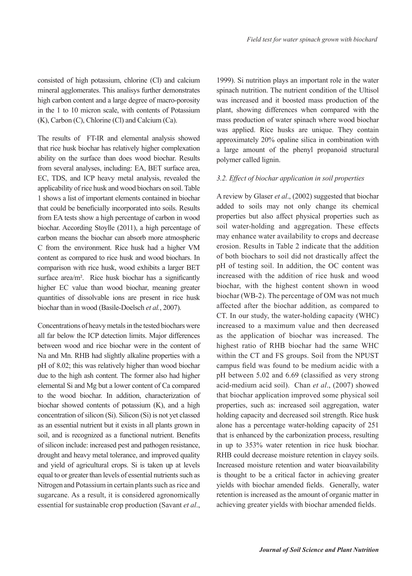consisted of high potassium, chlorine (Cl) and calcium mineral agglomerates. This analisys further demonstrates high carbon content and a large degree of macro-porosity in the 1 to 10 micron scale, with contents of Potassium (K), Carbon (C), Chlorine (Cl) and Calcium (Ca).

The results of FT-IR and elemental analysis showed that rice husk biochar has relatively higher complexation ability on the surface than does wood biochar. Results from several analyses, including: EA, BET surface area, EC, TDS, and ICP heavy metal analysis, revealed the applicability of rice husk and wood biochars on soil. Table 1 shows a list of important elements contained in biochar that could be beneficially incorporated into soils. Results from EA tests show a high percentage of carbon in wood biochar. According Stoylle (2011), a high percentage of carbon means the biochar can absorb more atmospheric C from the environment. Rice husk had a higher VM content as compared to rice husk and wood biochars. In comparison with rice husk, wood exhibits a larger BET surface area/m². Rice husk biochar has a significantly higher EC value than wood biochar, meaning greater quantities of dissolvable ions are present in rice husk biochar than in wood (Basile-Doelsch *et al.*, 2007).

Concentrations of heavy metals in the tested biochars were all far below the ICP detection limits. Major differences between wood and rice biochar were in the content of Na and Mn. RHB had slightly alkaline properties with a pH of 8.02; this was relatively higher than wood biochar due to the high ash content. The former also had higher elemental Si and Mg but a lower content of Ca compared to the wood biochar. In addition, characterization of biochar showed contents of potassium (K), and a high concentration of silicon (Si). Silicon (Si) is not yet classed as an essential nutrient but it exists in all plants grown in soil, and is recognized as a functional nutrient. Benefits of silicon include: increased pest and pathogen resistance, drought and heavy metal tolerance, and improved quality and yield of agricultural crops. Si is taken up at levels equal to or greater than levels of essential nutrients such as Nitrogen and Potassium in certain plants such as rice and sugarcane. As a result, it is considered agronomically essential for sustainable crop production (Savant *et al*.,

1999). Si nutrition plays an important role in the water spinach nutrition. The nutrient condition of the Ultisol was increased and it boosted mass production of the plant, showing differences when compared with the mass production of water spinach where wood biochar was applied. Rice husks are unique. They contain approximately 20% opaline silica in combination with a large amount of the phenyl propanoid structural polymer called lignin.

## *3.2. Effect of biochar application in soil properties*

A review by Glaser *et al*., (2002) suggested that biochar added to soils may not only change its chemical properties but also affect physical properties such as soil water-holding and aggregation. These effects may enhance water availability to crops and decrease erosion. Results in Table 2 indicate that the addition of both biochars to soil did not drastically affect the pH of testing soil. In addition, the OC content was increased with the addition of rice husk and wood biochar, with the highest content shown in wood biochar (WB-2). The percentage of OM was not much affected after the biochar addition, as compared to CT. In our study, the water-holding capacity (WHC) increased to a maximum value and then decreased as the application of biochar was increased. The highest ratio of RHB biochar had the same WHC within the CT and FS groups. Soil from the NPUST campus field was found to be medium acidic with a pH between 5.02 and 6.69 (classified as very strong acid-medium acid soil). Chan *et al*., (2007) showed that biochar application improved some physical soil properties, such as: increased soil aggregation, water holding capacity and decreased soil strength. Rice husk alone has a percentage water-holding capacity of 251 that is enhanced by the carbonization process, resulting in up to 353% water retention in rice husk biochar. RHB could decrease moisture retention in clayey soils. Increased moisture retention and water bioavailability is thought to be a critical factor in achieving greater yields with biochar amended fields. Generally, water retention is increased as the amount of organic matter in achieving greater yields with biochar amended fields.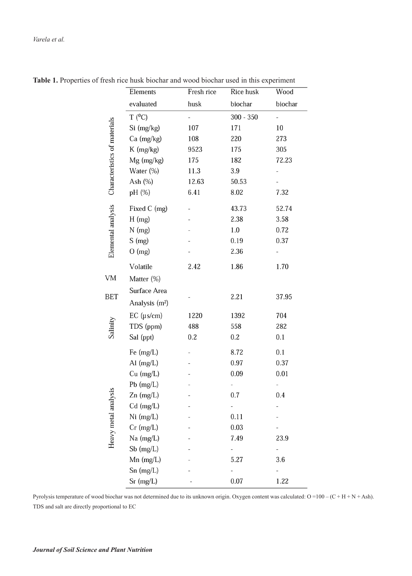|                                                 | Elements                   | Fresh rice | Rice husk   | Wood    |
|-------------------------------------------------|----------------------------|------------|-------------|---------|
|                                                 | evaluated                  | husk       | biochar     | biochar |
| Elemental analysis Characteristics of materials | $T(^{0}C)$                 |            | $300 - 350$ |         |
|                                                 | Si (mg/kg)                 | 107        | 171         | 10      |
|                                                 | Ca (mg/kg)                 | 108        | 220         | 273     |
|                                                 | $K$ (mg/kg)                | 9523       | 175         | 305     |
|                                                 | Mg (mg/kg)                 | 175        | 182         | 72.23   |
|                                                 | Water (%)                  | 11.3       | 3.9         |         |
|                                                 | Ash (%)                    | 12.63      | 50.53       |         |
|                                                 | pH (%)                     | 6.41       | 8.02        | 7.32    |
|                                                 | Fixed C (mg)               |            | 43.73       | 52.74   |
|                                                 | H (mg)                     |            | 2.38        | 3.58    |
|                                                 | $N$ (mg)                   |            | 1.0         | 0.72    |
|                                                 | S(mg)                      |            | 0.19        | 0.37    |
|                                                 | $O$ (mg)                   |            | 2.36        |         |
|                                                 | Volatile                   | 2.42       | 1.86        | 1.70    |
| <b>VM</b>                                       | Matter (%)                 |            |             |         |
| <b>BET</b>                                      | Surface Area               |            | 2.21        | 37.95   |
|                                                 | Analysis (m <sup>2</sup> ) |            |             |         |
|                                                 | $EC$ ( $\mu$ s/cm)         | 1220       | 1392        | 704     |
|                                                 | TDS (ppm)                  | 488        | 558         | 282     |
|                                                 | Sal (ppt)                  | 0.2        | 0.2         | 0.1     |
|                                                 | Fe (mg/L)                  |            | 8.72        | 0.1     |
|                                                 | Al (mg/L)                  |            | 0.97        | 0.37    |
|                                                 | $Cu$ (mg/L)                |            | 0.09        | 0.01    |
|                                                 | Pb (mg/L)                  |            |             |         |
|                                                 | $Zn$ (mg/L)                |            | 0.7         | 0.4     |
|                                                 | $Cd$ (mg/L)                |            |             |         |
|                                                 | Ni (mg/L)                  |            | 0.11        |         |
|                                                 | $Cr$ (mg/L)                |            | 0.03        |         |
| Heavy metal analysis                            | Na (mg/L)                  |            | 7.49        | 23.9    |
|                                                 | Sb (mg/L)                  |            |             |         |
|                                                 | Mn (mg/L)                  |            | 5.27        | 3.6     |
|                                                 | Sn (mg/L)                  |            |             |         |
|                                                 | $Sr$ (mg/L)                |            | 0.07        | 1.22    |

**Table 1.** Properties of fresh rice husk biochar and wood biochar used in this experiment

Pyrolysis temperature of wood biochar was not determined due to its unknown origin. Oxygen content was calculated: O =100 – (C + H + N + Ash). TDS and salt are directly proportional to EC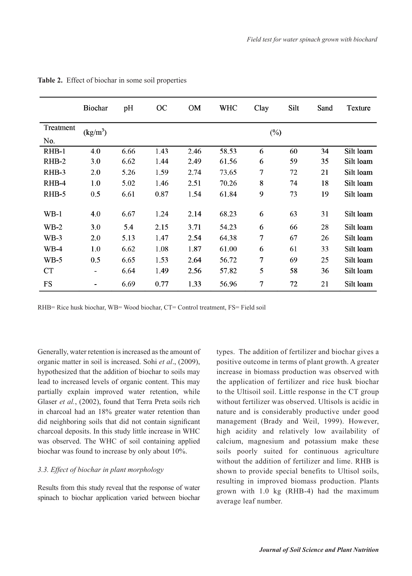|           | <b>Biochar</b> | pH   | OC   | <b>OM</b> | <b>WHC</b> | Clay   | Silt | Sand | Texture   |
|-----------|----------------|------|------|-----------|------------|--------|------|------|-----------|
| Treatment | $(kg/m^3)$     |      |      |           |            | $(\%)$ |      |      |           |
| No.       |                |      |      |           |            |        |      |      |           |
| $RHB-1$   | 4.0            | 6.66 | 1.43 | 2.46      | 58.53      | 6      | 60   | 34   | Silt loam |
| $RHB-2$   | 3.0            | 6.62 | 1.44 | 2.49      | 61.56      | 6      | 59   | 35   | Silt loam |
| $RHB-3$   | 2.0            | 5.26 | 1.59 | 2.74      | 73.65      | 7      | 72   | 21   | Silt loam |
| RHB-4     | 1.0            | 5.02 | 1.46 | 2.51      | 70.26      | 8      | 74   | 18   | Silt loam |
| RHB-5     | 0.5            | 6.61 | 0.87 | 1.54      | 61.84      | 9      | 73   | 19   | Silt loam |
| WB-1      | 4.0            | 6.67 | 1.24 | 2.14      | 68.23      | 6      | 63   | 31   | Silt loam |
| $WB-2$    | 3.0            | 5.4  | 2.15 | 3.71      | 54.23      | 6      | 66   | 28   | Silt loam |
| $WB-3$    | 2.0            | 5.13 | 1.47 | 2.54      | 64.38      | 7      | 67   | 26   | Silt loam |
| $WB-4$    | 1.0            | 6.62 | 1.08 | 1.87      | 61.00      | 6      | 61   | 33   | Silt loam |
| $WB-5$    | 0.5            | 6.65 | 1.53 | 2.64      | 56.72      | 7      | 69   | 25   | Silt loam |
| CT        |                | 6.64 | 1.49 | 2.56      | 57.82      | 5      | 58   | 36   | Silt loam |
| <b>FS</b> |                | 6.69 | 0.77 | 1.33      | 56.96      | 7      | 72   | 21   | Silt loam |

**Table 2.** Effect of biochar in some soil properties

RHB= Rice husk biochar, WB= Wood biochar, CT= Control treatment, FS= Field soil

Generally, water retention is increased as the amount of organic matter in soil is increased. Sohi *et al*., (2009), hypothesized that the addition of biochar to soils may lead to increased levels of organic content. This may partially explain improved water retention, while Glaser *et al.*, (2002), found that Terra Preta soils rich in charcoal had an 18% greater water retention than did neighboring soils that did not contain significant charcoal deposits. In this study little increase in WHC was observed. The WHC of soil containing applied biochar was found to increase by only about 10%.

## *3.3. Effect of biochar in plant morphology*

Results from this study reveal that the response of water spinach to biochar application varied between biochar

types. The addition of fertilizer and biochar gives a positive outcome in terms of plant growth. A greater increase in biomass production was observed with the application of fertilizer and rice husk biochar to the Ultisoil soil. Little response in the CT group without fertilizer was observed. Ultisols is acidic in nature and is considerably productive under good management (Brady and Weil, 1999). However, high acidity and relatively low availability of calcium, magnesium and potassium make these soils poorly suited for continuous agriculture without the addition of fertilizer and lime. RHB is shown to provide special benefits to Ultisol soils, resulting in improved biomass production. Plants grown with 1.0 kg (RHB-4) had the maximum average leaf number.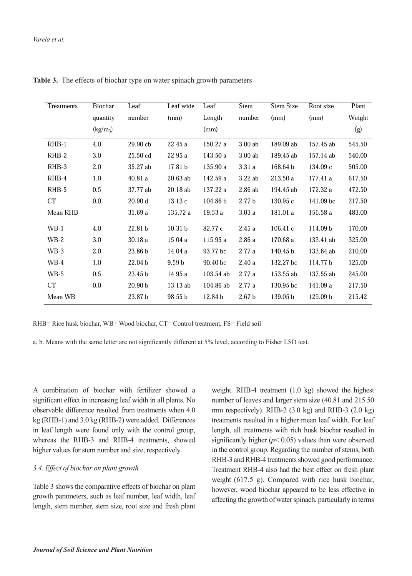| Treatments | <b>Biochar</b> | Leaf               | Leaf wide          | Leaf      | Stem              | <b>Stem Size</b> | Root size           | Plant  |
|------------|----------------|--------------------|--------------------|-----------|-------------------|------------------|---------------------|--------|
|            | quantity       | number             | (mm)               | Length    | number            | (mm)             | (mm)                | Weight |
|            | $(kg/m_3)$     |                    |                    | (mm)      |                   |                  |                     | (g)    |
| $RHB-1$    | 4.0            | 29.90cb            | 22.45 a            | 150.27 a  | 3.00ab            | 189.09 ab        | 157.45 ab           | 545.50 |
| $RHB-2$    | 3.0            | 25.50 cd           | 22.95 a            | 143.50 a  | 3.00ab            | 189.45 ab        | 157.14 ab           | 540.00 |
| RHB-3      | 2.0            | 35.27 ab           | 17.81 b            | 135.90 a  | 3.31a             | 168.64 b         | 134.09 с            | 505.00 |
| RHB-4      | 1.0            | 40.81 a            | $20.63$ ab         | 142.59 a  | 3.22 ab           | 213.50 a         | 177.41 a            | 617.50 |
| RHB-5      | 0.5            | 37.77 ab           | 20.18ab            | 137.22 a  | 2.86ab            | 194.45 ab        | 172.32 a            | 472.50 |
| CT         | 0.0            | 20.90d             | 13.13 c            | 104.86 b  | 2.77 <sub>b</sub> | 130.95 с         | 141.09 bc           | 217.50 |
| Mean RHB   |                | 31.69a             | 135.72 a           | 19.53a    | 3.03a             | 181.01 a         | 156.58a             | 483.00 |
| $WB-1$     | 4.0            | 22.81 b            | 10.31 <sub>b</sub> | 82.77 c   | 2.45a             | 106.41c          | 114.09 <sub>b</sub> | 170.00 |
| $WB-2$     | 3.0            | 30.18 a            | 15.04a             | 115.95a   | 2.86a             | 170.68 a         | 133.41 ab           | 325.00 |
| $WB-3$     | 2.0            | 23.86 b            | 14.04 a            | 93.77 bc  | 2.77a             | 140.45 b         | 133.64 ab           | 210.00 |
| $WB-4$     | 1.0            | 22.04 b            | 9.59 <sub>b</sub>  | 90.40 bc  | 2.40a             | 132.27 bc        | 114.77 b            | 125.00 |
| $WB-5$     | 0.5            | 23.45 b            | 14.95 a            | 103.54 ab | 2.77a             | 153.55 ab        | 137.55 ab           | 245.00 |
| <b>CT</b>  | 0.0            | 20.90 <sub>b</sub> | 13.13 ab           | 104.86 ab | 2.77a             | 130.95 bc        | 141.09 a            | 217.50 |
| Mean WB    |                | 23.87 b            | 98.55 b            | 12.84 b   | 2.67 <sub>b</sub> | 139.05 b         | 129.09 b            | 215.42 |

**Table 3.** The effects of biochar type on water spinach growth parameters

RHB= Rice husk biochar, WB= Wood biochar, CT= Control treatment, FS= Field soil

a, b. Means with the same letter are not significantly different at 5% level, according to Fisher LSD test.

A combination of biochar with fertilizer showed a significant effect in increasing leaf width in all plants. No observable difference resulted from treatments when 4.0 kg (RHB-1) and 3.0 kg (RHB-2) were added. Differences in leaf length were found only with the control group, whereas the RHB-3 and RHB-4 treatments, showed higher values for stem number and size, respectively.

## *3.4. Effect of biochar on plant growth*

Table 3 shows the comparative effects of biochar on plant growth parameters, such as leaf number, leaf width, leaf length, stem number, stem size, root size and fresh plant weight. RHB-4 treatment (1.0 kg) showed the highest number of leaves and larger stem size (40.81 and 215.50 mm respectively). RHB-2 (3.0 kg) and RHB-3 (2.0 kg) treatments resulted in a higher mean leaf width. For leaf length, all treatments with rich husk biochar resulted in significantly higher  $(p< 0.05)$  values than were observed in the control group. Regarding the number of stems, both RHB-3 and RHB-4 treatments showed good performance. Treatment RHB-4 also had the best effect on fresh plant weight (617.5 g). Compared with rice husk biochar, however, wood biochar appeared to be less effective in affecting the growth of water spinach, particularly in terms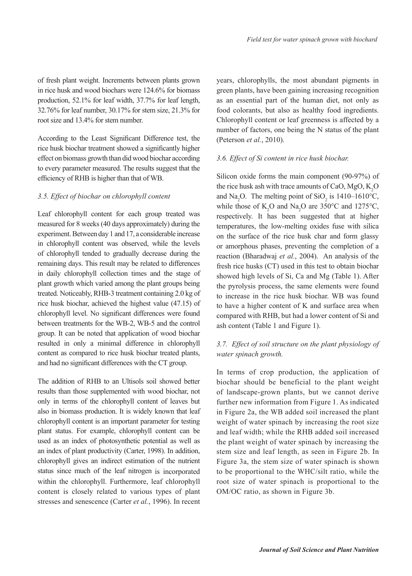of fresh plant weight. Increments between plants grown in rice husk and wood biochars were 124.6% for biomass production, 52.1% for leaf width, 37.7% for leaf length, 32.76% for leaf number, 30.17% for stem size, 21.3% for root size and 13.4% for stem number.

According to the Least Significant Difference test, the rice husk biochar treatment showed a significantly higher effect on biomass growth than did wood biochar according to every parameter measured. The results suggest that the efficiency of RHB is higher than that of WB.

## *3.5. Effect of biochar on chlorophyll content*

Leaf chlorophyll content for each group treated was measured for 8 weeks (40 days approximately) during the experiment. Between day 1 and 17, a considerable increase in chlorophyll content was observed, while the levels of chlorophyll tended to gradually decrease during the remaining days. This result may be related to differences in daily chlorophyll collection times and the stage of plant growth which varied among the plant groups being treated. Noticeably, RHB-3 treatment containing 2.0 kg of rice husk biochar, achieved the highest value (47.15) of chlorophyll level. No significant differences were found between treatments for the WB-2, WB-5 and the control group. It can be noted that application of wood biochar resulted in only a minimal difference in chlorophyll content as compared to rice husk biochar treated plants, and had no significant differences with the CT group.

The addition of RHB to an Ultisols soil showed better results than those supplemented with wood biochar, not only in terms of the chlorophyll content of leaves but also in biomass production. It is widely known that leaf chlorophyll content is an important parameter for testing plant status. For example, chlorophyll content can be used as an index of photosynthetic potential as well as an index of plant productivity (Carter, 1998). In addition, chlorophyll gives an indirect estimation of the nutrient status since much of the leaf nitrogen is incorporated within the chlorophyll. Furthermore, leaf chlorophyll content is closely related to various types of plant stresses and senescence (Carter *et al.*, 1996). In recent

years, chlorophylls, the most abundant pigments in green plants, have been gaining increasing recognition as an essential part of the human diet, not only as food colorants, but also as healthy food ingredients. Chlorophyll content or leaf greenness is affected by a number of factors, one being the N status of the plant (Peterson *et al.*, 2010).

### *3.6. Effect of Si content in rice husk biochar.*

Silicon oxide forms the main component (90-97%) of the rice husk ash with trace amounts of CaO, MgO,  $K_2O$ and Na<sub>2</sub>O. The melting point of  $SiO_2$  is 1410–1610°C, while those of  $K_2O$  and Na<sub>2</sub>O are 350°C and 1275°C, respectively. It has been suggested that at higher temperatures, the low-melting oxides fuse with silica on the surface of the rice husk char and form glassy or amorphous phases, preventing the completion of a reaction (Bharadwaj *et al.*, 2004). An analysis of the fresh rice husks (CT) used in this test to obtain biochar showed high levels of Si, Ca and Mg (Table 1). After the pyrolysis process, the same elements were found to increase in the rice husk biochar. WB was found to have a higher content of K and surface area when compared with RHB, but had a lower content of Si and ash content (Table 1 and Figure 1).

# *3.7. Effect of soil structure on the plant physiology of water spinach growth.*

In terms of crop production, the application of biochar should be beneficial to the plant weight of landscape-grown plants, but we cannot derive further new information from Figure 1. As indicated in Figure 2a, the WB added soil increased the plant weight of water spinach by increasing the root size and leaf width; while the RHB added soil increased the plant weight of water spinach by increasing the stem size and leaf length, as seen in Figure 2b. In Figure 3a, the stem size of water spinach is shown to be proportional to the WHC/silt ratio, while the root size of water spinach is proportional to the OM/OC ratio, as shown in Figure 3b.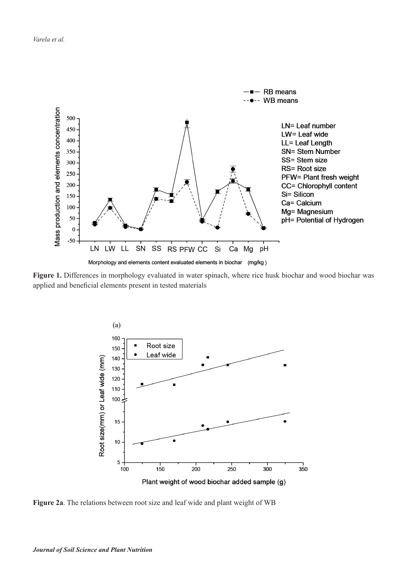

**Figure 1.** Differences in morphology evaluated in water spinach, where rice husk biochar and wood biochar was applied and beneficial elements present in tested materials



**Figure 2a**. The relations between root size and leaf wide and plant weight of WB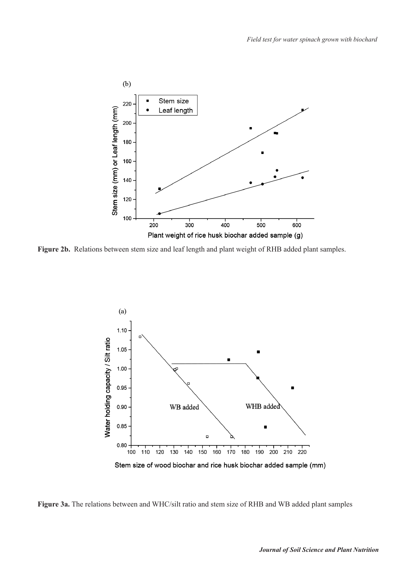

**Figure 2b.** Relations between stem size and leaf length and plant weight of RHB added plant samples.



**Figure 3a.** The relations between and WHC/silt ratio and stem size of RHB and WB added plant samples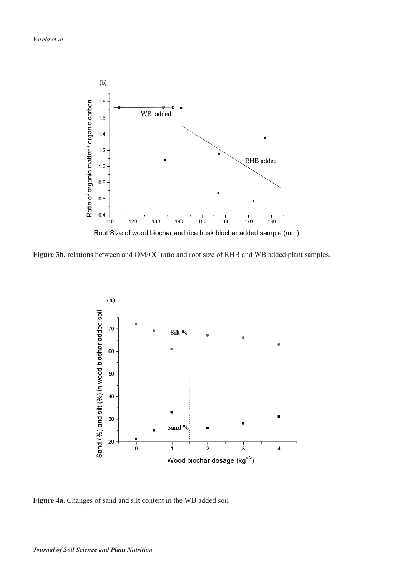

**Figure 3b.** relations between and OM/OC ratio and root size of RHB and WB added plant samples.



**Figure 4a**. Changes of sand and silt content in the WB added soil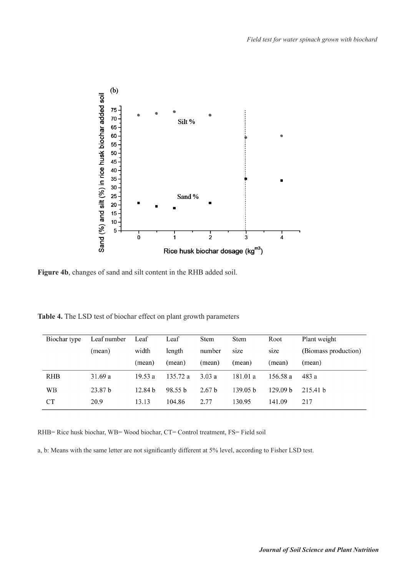

**Figure 4b**, changes of sand and silt content in the RHB added soil.

|  |  |  |  |  |  |  |  |  |  | <b>Table 4.</b> The LSD test of biochar effect on plant growth parameters |
|--|--|--|--|--|--|--|--|--|--|---------------------------------------------------------------------------|
|--|--|--|--|--|--|--|--|--|--|---------------------------------------------------------------------------|

| Biochar type | Leaf number        | Leaf               | Leaf    | <b>Stem</b>       | <b>Stem</b>         | Root                | Plant weight         |
|--------------|--------------------|--------------------|---------|-------------------|---------------------|---------------------|----------------------|
|              | (mean)             | width              | length  | number            | size                | size                | (Biomass production) |
|              |                    | (mean)             | (mean)  | (mean)            | (mean)              | (mean)              | (mean)               |
| <b>RHB</b>   | 31.69 a            | 19.53a             | 135.72a | 3.03a             | 181.01 a            | 156.58 a            | 483 a                |
| WВ           | 23.87 <sub>b</sub> | 12.84 <sub>b</sub> | 98.55 b | 2.67 <sub>b</sub> | 139.05 <sub>b</sub> | 129.09 <sub>b</sub> | 215.41 b             |
| CT           | 20.9               | 13.13              | 104.86  | 2.77              | 130.95              | 141.09              | 217                  |

RHB= Rice husk biochar, WB= Wood biochar, CT= Control treatment, FS= Field soil

a, b: Means with the same letter are not significantly different at 5% level, according to Fisher LSD test.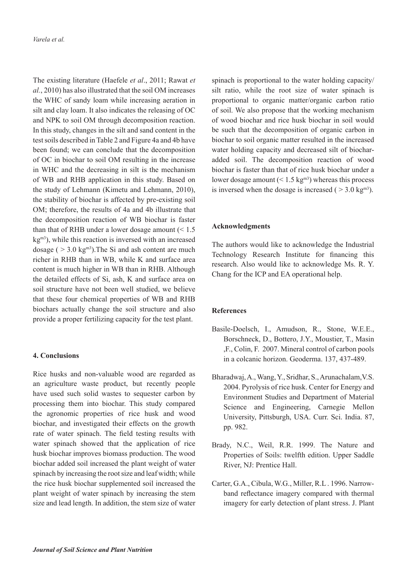The existing literature (Haefele *et al*., 2011; Rawat *et al.*, 2010) has also illustrated that the soil OM increases the WHC of sandy loam while increasing aeration in silt and clay loam. It also indicates the releasing of OC and NPK to soil OM through decomposition reaction. In this study, changes in the silt and sand content in the test soils described in Table 2 and Figure 4a and 4b have been found; we can conclude that the decomposition of OC in biochar to soil OM resulting in the increase in WHC and the decreasing in silt is the mechanism of WB and RHB application in this study. Based on the study of Lehmann (Kimetu and Lehmann, 2010), the stability of biochar is affected by pre-existing soil OM; therefore, the results of 4a and 4b illustrate that the decomposition reaction of WB biochar is faster than that of RHB under a lower dosage amount  $(< 1.5$ kgm3), while this reaction is inversed with an increased dosage ( $>$  3.0 kg<sup>m3</sup>). The Si and ash content are much richer in RHB than in WB, while K and surface area content is much higher in WB than in RHB. Although the detailed effects of Si, ash, K and surface area on soil structure have not been well studied, we believe that these four chemical properties of WB and RHB biochars actually change the soil structure and also provide a proper fertilizing capacity for the test plant.

## **4. Conclusions**

Rice husks and non-valuable wood are regarded as an agriculture waste product, but recently people have used such solid wastes to sequester carbon by processing them into biochar. This study compared the agronomic properties of rice husk and wood biochar, and investigated their effects on the growth rate of water spinach. The field testing results with water spinach showed that the application of rice husk biochar improves biomass production. The wood biochar added soil increased the plant weight of water spinach by increasing the root size and leaf width; while the rice husk biochar supplemented soil increased the plant weight of water spinach by increasing the stem size and lead length. In addition, the stem size of water

spinach is proportional to the water holding capacity/ silt ratio, while the root size of water spinach is proportional to organic matter/organic carbon ratio of soil. We also propose that the working mechanism of wood biochar and rice husk biochar in soil would be such that the decomposition of organic carbon in biochar to soil organic matter resulted in the increased water holding capacity and decreased silt of biocharadded soil. The decomposition reaction of wood biochar is faster than that of rice husk biochar under a lower dosage amount  $(< 1.5 \text{ kg}^{\text{m3}})$  whereas this process is inversed when the dosage is increased ( $>$  3.0 kg<sup>m3</sup>).

## **Acknowledgments**

The authors would like to acknowledge the Industrial Technology Research Institute for financing this research. Also would like to acknowledge Ms. R. Y. Chang for the ICP and EA operational help.

#### **References**

- Basile-Doelsch, I., Amudson, R., Stone, W.E.E., Borschneck, D., Bottero, J.Y., Moustier, T., Masin ,F., Colin, F. 2007. Mineral control of carbon pools in a colcanic horizon. Geoderma. 137, 437-489.
- Bharadwaj, A., Wang, Y., Sridhar, S., Arunachalam,V.S. 2004. Pyrolysis of rice husk. Center for Energy and Environment Studies and Department of Material Science and Engineering, Carnegie Mellon University, Pittsburgh, USA. Curr. Sci. India. 87, pp. 982.
- Brady, N.C., Weil, R.R. 1999. The Nature and Properties of Soils: twelfth edition. Upper Saddle River, NJ: Prentice Hall.
- Carter, G.A., Cibula, W.G., Miller, R.L . 1996. Narrowband reflectance imagery compared with thermal imagery for early detection of plant stress. J. Plant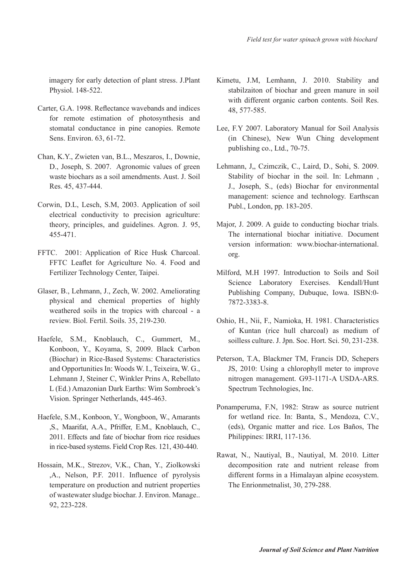imagery for early detection of plant stress. J.Plant Physiol. 148-522.

- Carter, G.A. 1998. Reflectance wavebands and indices for remote estimation of photosynthesis and stomatal conductance in pine canopies. Remote Sens. Environ. 63, 61-72.
- Chan, K.Y., Zwieten van, B.L., Meszaros, I., Downie, D., Joseph, S. 2007. Agronomic values of green waste biochars as a soil amendments. Aust. J. Soil Res. 45, 437-444.
- Corwin, D.L, Lesch, S.M, 2003. Application of soil electrical conductivity to precision agriculture: theory, principles, and guidelines. Agron. J. 95, 455-471.
- FFTC. 2001: Application of Rice Husk Charcoal. FFTC Leaflet for Agriculture No. 4. Food and Fertilizer Technology Center, Taipei.
- Glaser, B., Lehmann, J., Zech, W. 2002. Ameliorating physical and chemical properties of highly weathered soils in the tropics with charcoal - a review. Biol. Fertil. Soils. 35, 219-230.
- Haefele, S.M., Knoblauch, C., Gummert, M., Konboon, Y., Koyama, S, 2009. Black Carbon (Biochar) in Rice-Based Systems: Characteristics and Opportunities In: Woods W. I., Teixeira, W. G., Lehmann J, Steiner C, Winkler Prins A, Rebellato L (Ed.) Amazonian Dark Earths: Wim Sombroek's Vision. Springer Netherlands, 445-463.
- Haefele, S.M., Konboon, Y., Wongboon, W., Amarants ,S., Maarifat, A.A., Pfriffer, E.M., Knoblauch, C., 2011. Effects and fate of biochar from rice residues in rice-based systems. Field Crop Res. 121, 430-440.
- Hossain, M.K., Strezov, V.K., Chan, Y., Ziolkowski ,A., Nelson, P.F. 2011. Influence of pyrolysis temperature on production and nutrient properties of wastewater sludge biochar. J. Environ. Manage.. 92, 223-228.
- Kimetu, J.M, Lemhann, J. 2010. Stability and stabilzaiton of biochar and green manure in soil with different organic carbon contents. Soil Res. 48, 577-585.
- Lee, F.Y 2007. Laboratory Manual for Soil Analysis (in Chinese), New Wun Ching development publishing co., Ltd., 70-75.
- Lehmann, J,, Czimczik, C., Laird, D., Sohi, S. 2009. Stability of biochar in the soil. In: Lehmann , J., Joseph, S., (eds) Biochar for environmental management: science and technology. Earthscan Publ., London, pp. 183-205.
- Major, J. 2009. A guide to conducting biochar trials. The international biochar initiative. Document version information: www.biochar-international. org.
- Milford, M.H 1997. Introduction to Soils and Soil Science Laboratory Exercises. Kendall/Hunt Publishing Company, Dubuque, Iowa. ISBN:0- 7872-3383-8.
- Oshio, H., Nii, F., Namioka, H. 1981. Characteristics of Kuntan (rice hull charcoal) as medium of soilless culture. J. Jpn. Soc. Hort. Sci. 50, 231-238.
- Peterson, T.A, Blackmer TM, Francis DD, Schepers JS, 2010: Using a chlorophyll meter to improve nitrogen management. G93-1171-A USDA-ARS. Spectrum Technologies, Inc.
- Ponamperuma, F.N, 1982: Straw as source nutrient for wetland rice. In: Banta, S., Mendoza, C.V., (eds), Organic matter and rice. Los Baños, The Philippines: IRRI, 117-136.
- Rawat, N., Nautiyal, B., Nautiyal, M. 2010. Litter decomposition rate and nutrient release from different forms in a Himalayan alpine ecosystem. The Enrionmetnalist, 30, 279-288.